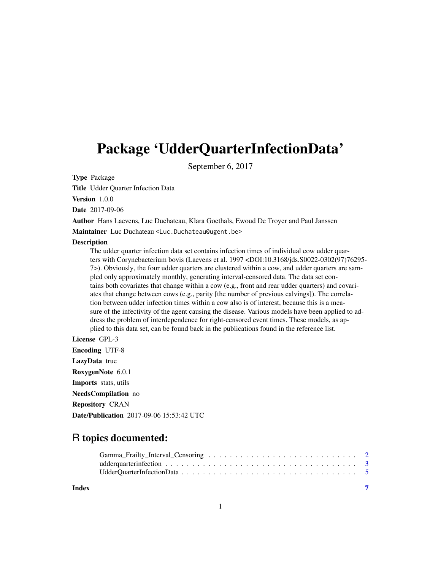## <span id="page-0-0"></span>Package 'UdderQuarterInfectionData'

September 6, 2017

Type Package

Title Udder Quarter Infection Data

Version 1.0.0

Date 2017-09-06

Author Hans Laevens, Luc Duchateau, Klara Goethals, Ewoud De Troyer and Paul Janssen

Maintainer Luc Duchateau <Luc.Duchateau@ugent.be>

#### Description

The udder quarter infection data set contains infection times of individual cow udder quarters with Corynebacterium bovis (Laevens et al. 1997 <DOI:10.3168/jds.S0022-0302(97)76295- 7>). Obviously, the four udder quarters are clustered within a cow, and udder quarters are sampled only approximately monthly, generating interval-censored data. The data set contains both covariates that change within a cow (e.g., front and rear udder quarters) and covariates that change between cows (e.g., parity [the number of previous calvings]). The correlation between udder infection times within a cow also is of interest, because this is a measure of the infectivity of the agent causing the disease. Various models have been applied to address the problem of interdependence for right-censored event times. These models, as applied to this data set, can be found back in the publications found in the reference list.

#### License GPL-3

Encoding UTF-8 LazyData true RoxygenNote 6.0.1 Imports stats, utils NeedsCompilation no Repository CRAN Date/Publication 2017-09-06 15:53:42 UTC

### R topics documented:

| Index |  |
|-------|--|
|       |  |
|       |  |

#### 1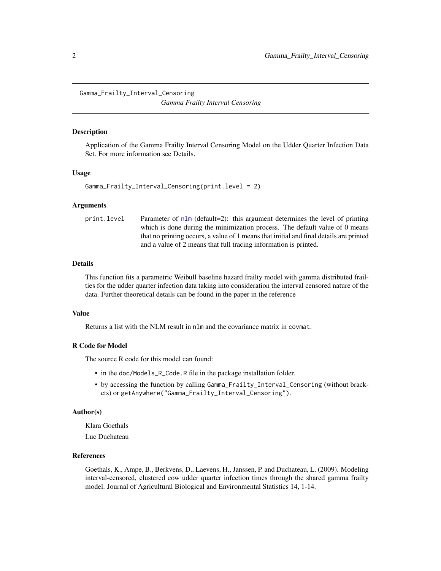<span id="page-1-1"></span><span id="page-1-0"></span>Gamma\_Frailty\_Interval\_Censoring *Gamma Frailty Interval Censoring*

#### **Description**

Application of the Gamma Frailty Interval Censoring Model on the Udder Quarter Infection Data Set. For more information see Details.

#### Usage

```
Gamma_Frailty_Interval_Censoring(print.level = 2)
```
#### Arguments

```
print.level Parameter of nlm (default=2): this argument determines the level of printing
                   which is done during the minimization process. The default value of 0 means
                   that no printing occurs, a value of 1 means that initial and final details are printed
                   and a value of 2 means that full tracing information is printed.
```
#### **Details**

This function fits a parametric Weibull baseline hazard frailty model with gamma distributed frailties for the udder quarter infection data taking into consideration the interval censored nature of the data. Further theoretical details can be found in the paper in the reference

#### Value

Returns a list with the NLM result in nlm and the covariance matrix in covmat.

#### R Code for Model

The source R code for this model can found:

- in the doc/Models\_R\_Code.R file in the package installation folder.
- by accessing the function by calling Gamma\_Frailty\_Interval\_Censoring (without brackets) or getAnywhere("Gamma\_Frailty\_Interval\_Censoring").

#### Author(s)

Klara Goethals

Luc Duchateau

#### References

Goethals, K., Ampe, B., Berkvens, D., Laevens, H., Janssen, P. and Duchateau, L. (2009). Modeling interval-censored, clustered cow udder quarter infection times through the shared gamma frailty model. Journal of Agricultural Biological and Environmental Statistics 14, 1-14.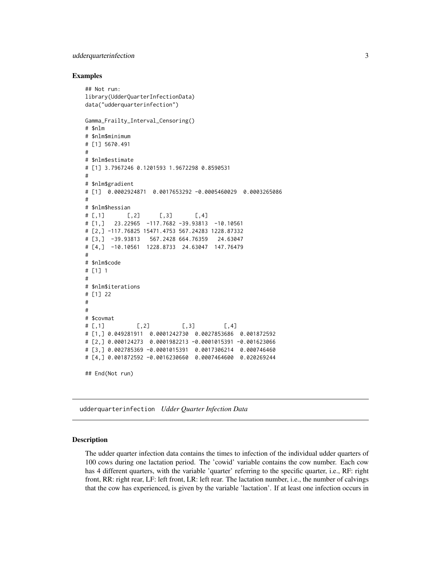#### <span id="page-2-0"></span>udderquarterinfection 3

#### Examples

```
## Not run:
library(UdderQuarterInfectionData)
data("udderquarterinfection")
Gamma_Frailty_Interval_Censoring()
# $nlm
# $nlm$minimum
# [1] 5670.491
#
# $nlm$estimate
# [1] 3.7967246 0.1201593 1.9672298 0.8590531
#
# $nlm$gradient
# [1] 0.0002924871 0.0017653292 -0.0005460029 0.0003265086
#
# $nlm$hessian
\# [,1] [,2] [,3] [,4]
# [1,] 23.22965 -117.7682 -39.93813 -10.10561
# [2,] -117.76825 15471.4753 567.24283 1228.87332
# [3,] -39.93813 567.2428 664.76359 24.63047
# [4,] -10.10561 1228.8733 24.63047 147.76479
#
# $nlm$code
# [1] 1
#
# $nlm$iterations
# [1] 22
#
#
# $covmat
\# [,1] [,2] [,3] [,4]
# [1,] 0.049281911 0.0001242730 0.0027853686 0.001872592
# [2,] 0.000124273 0.0001982213 -0.0001015391 -0.001623066
# [3,] 0.002785369 -0.0001015391 0.0017306214 0.000746460
# [4,] 0.001872592 -0.0016230660 0.0007464600 0.020269244
## End(Not run)
```
udderquarterinfection *Udder Quarter Infection Data*

#### Description

The udder quarter infection data contains the times to infection of the individual udder quarters of 100 cows during one lactation period. The 'cowid' variable contains the cow number. Each cow has 4 different quarters, with the variable 'quarter' referring to the specific quarter, i.e., RF: right front, RR: right rear, LF: left front, LR: left rear. The lactation number, i.e., the number of calvings that the cow has experienced, is given by the variable 'lactation'. If at least one infection occurs in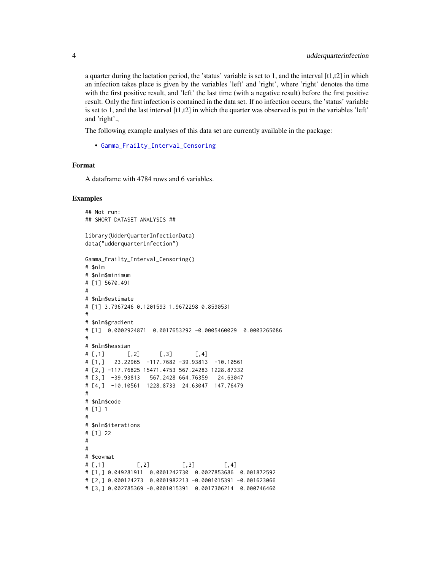a quarter during the lactation period, the 'status' variable is set to 1, and the interval  $[t1,t2]$  in which an infection takes place is given by the variables 'left' and 'right', where 'right' denotes the time with the first positive result, and 'left' the last time (with a negative result) before the first positive result. Only the first infection is contained in the data set. If no infection occurs, the 'status' variable is set to 1, and the last interval [t1,t2] in which the quarter was observed is put in the variables 'left' and 'right'.,

The following example analyses of this data set are currently available in the package:

• [Gamma\\_Frailty\\_Interval\\_Censoring](#page-1-1)

#### Format

A dataframe with 4784 rows and 6 variables.

#### Examples

```
## Not run:
## SHORT DATASET ANALYSIS ##
library(UdderQuarterInfectionData)
data("udderquarterinfection")
Gamma_Frailty_Interval_Censoring()
# $nlm
# $nlm$minimum
# [1] 5670.491
#
# $nlm$estimate
# [1] 3.7967246 0.1201593 1.9672298 0.8590531
#
# $nlm$gradient
# [1] 0.0002924871 0.0017653292 -0.0005460029 0.0003265086
#
# $nlm$hessian
\# [,1] [,2] [,3] [,4]
# [1,] 23.22965 -117.7682 -39.93813 -10.10561
# [2,] -117.76825 15471.4753 567.24283 1228.87332
# [3,] -39.93813 567.2428 664.76359 24.63047
# [4,] -10.10561 1228.8733 24.63047 147.76479
#
# $nlm$code
# [1] 1
#
# $nlm$iterations
# [1] 22
#
#
# $covmat
\# [,1] [,2] [,3] [,4]
# [1,] 0.049281911 0.0001242730 0.0027853686 0.001872592
# [2,] 0.000124273 0.0001982213 -0.0001015391 -0.001623066
# [3,] 0.002785369 -0.0001015391 0.0017306214 0.000746460
```
<span id="page-3-0"></span>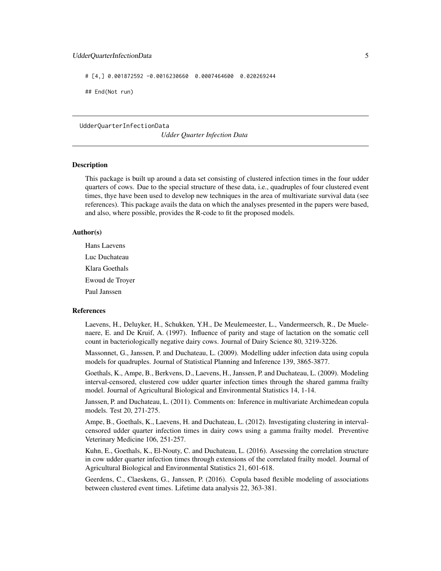#### <span id="page-4-0"></span>UdderQuarterInfectionData 5

# [4,] 0.001872592 -0.0016230660 0.0007464600 0.020269244

## End(Not run)

UdderQuarterInfectionData

*Udder Quarter Infection Data*

#### Description

This package is built up around a data set consisting of clustered infection times in the four udder quarters of cows. Due to the special structure of these data, i.e., quadruples of four clustered event times, thye have been used to develop new techniques in the area of multivariate survival data (see references). This package avails the data on which the analyses presented in the papers were based, and also, where possible, provides the R-code to fit the proposed models.

#### Author(s)

Hans Laevens Luc Duchateau Klara Goethals Ewoud de Troyer Paul Janssen

#### References

Laevens, H., Deluyker, H., Schukken, Y.H., De Meulemeester, L., Vandermeersch, R., De Muelenaere, E. and De Kruif, A. (1997). Influence of parity and stage of lactation on the somatic cell count in bacteriologically negative dairy cows. Journal of Dairy Science 80, 3219-3226.

Massonnet, G., Janssen, P. and Duchateau, L. (2009). Modelling udder infection data using copula models for quadruples. Journal of Statistical Planning and Inference 139, 3865-3877.

Goethals, K., Ampe, B., Berkvens, D., Laevens, H., Janssen, P. and Duchateau, L. (2009). Modeling interval-censored, clustered cow udder quarter infection times through the shared gamma frailty model. Journal of Agricultural Biological and Environmental Statistics 14, 1-14.

Janssen, P. and Duchateau, L. (2011). Comments on: Inference in multivariate Archimedean copula models. Test 20, 271-275.

Ampe, B., Goethals, K., Laevens, H. and Duchateau, L. (2012). Investigating clustering in intervalcensored udder quarter infection times in dairy cows using a gamma frailty model. Preventive Veterinary Medicine 106, 251-257.

Kuhn, E., Goethals, K., El-Nouty, C. and Duchateau, L. (2016). Assessing the correlation structure in cow udder quarter infection times through extensions of the correlated frailty model. Journal of Agricultural Biological and Environmental Statistics 21, 601-618.

Geerdens, C., Claeskens, G., Janssen, P. (2016). Copula based flexible modeling of associations between clustered event times. Lifetime data analysis 22, 363-381.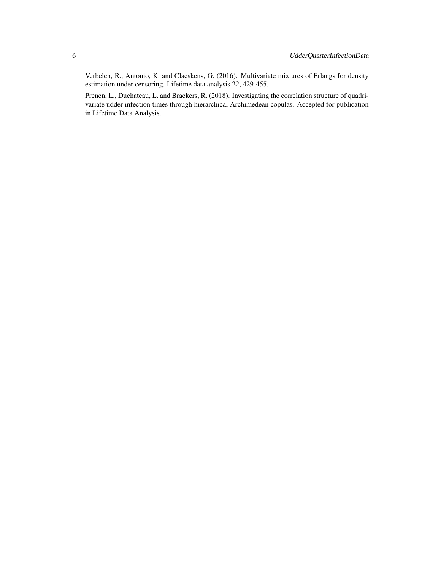Verbelen, R., Antonio, K. and Claeskens, G. (2016). Multivariate mixtures of Erlangs for density estimation under censoring. Lifetime data analysis 22, 429-455.

Prenen, L., Duchateau, L. and Braekers, R. (2018). Investigating the correlation structure of quadrivariate udder infection times through hierarchical Archimedean copulas. Accepted for publication in Lifetime Data Analysis.